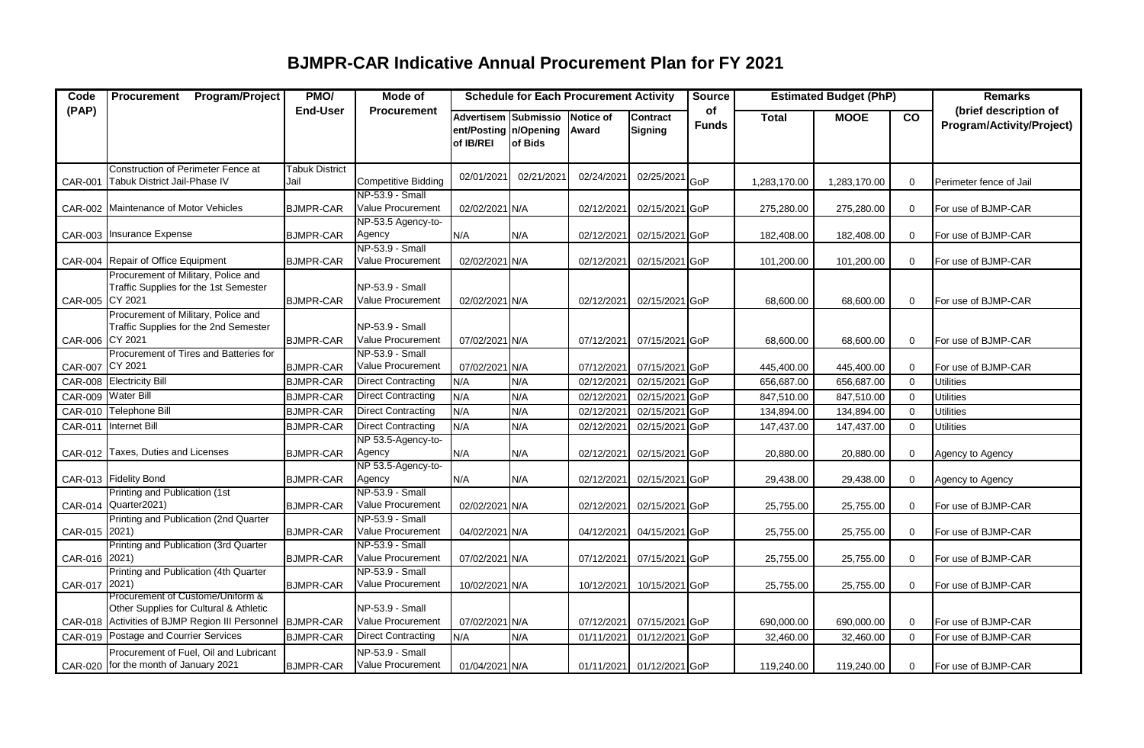## **BJMPR-CAR Indicative Annual Procurement Plan for FY 2021**

| Code            | Program/Project<br><b>Procurement</b>                                                                                         | PMO/                          | Mode of                                     | <b>Schedule for Each Procurement Activity</b>                |            |                    | <b>Source</b>                     | <b>Estimated Budget (PhP)</b> |              | <b>Remarks</b> |              |                                                    |
|-----------------|-------------------------------------------------------------------------------------------------------------------------------|-------------------------------|---------------------------------------------|--------------------------------------------------------------|------------|--------------------|-----------------------------------|-------------------------------|--------------|----------------|--------------|----------------------------------------------------|
| (PAP)           |                                                                                                                               | <b>End-User</b>               | <b>Procurement</b>                          | Advertisem Submissio<br>ent/Posting   n/Opening<br>of IB/REI | of Bids    | Notice of<br>Award | <b>Contract</b><br><b>Signing</b> | of<br><b>Funds</b>            | <b>Total</b> | <b>MOOE</b>    | co           | (brief description of<br>Program/Activity/Project) |
| <b>CAR-001</b>  | Construction of Perimeter Fence at<br>Tabuk District Jail-Phase IV                                                            | <b>Tabuk District</b><br>Jail | <b>Competitive Bidding</b>                  | 02/01/2021                                                   | 02/21/2021 | 02/24/2021         | 02/25/2021                        | GoP                           | 1,283,170.00 | 1,283,170.00   | $\mathbf 0$  | Perimeter fence of Jail                            |
|                 | CAR-002 Maintenance of Motor Vehicles                                                                                         | <b>BJMPR-CAR</b>              | NP-53.9 - Small<br>Value Procurement        | 02/02/2021 N/A                                               |            | 02/12/2021         | 02/15/2021 GoP                    |                               | 275,280.00   | 275,280.00     | $\mathbf 0$  | For use of BJMP-CAR                                |
|                 | CAR-003 Insurance Expense                                                                                                     | <b>BJMPR-CAR</b>              | NP-53.5 Agency-to-<br>Agency                | N/A                                                          | N/A        | 02/12/2021         | 02/15/2021 GoP                    |                               | 182,408.00   | 182,408.00     | $\mathbf 0$  | For use of BJMP-CAR                                |
|                 | CAR-004 Repair of Office Equipment                                                                                            | <b>BJMPR-CAR</b>              | NP-53.9 - Small<br>Value Procurement        | 02/02/2021 N/A                                               |            | 02/12/2021         | 02/15/2021 GoP                    |                               | 101,200.00   | 101,200.00     | $\mathbf 0$  | For use of BJMP-CAR                                |
| CAR-005 CY 2021 | Procurement of Military, Police and<br>Traffic Supplies for the 1st Semester                                                  | <b>BJMPR-CAR</b>              | NP-53.9 - Small<br>Value Procurement        | 02/02/2021 N/A                                               |            | 02/12/2021         | 02/15/2021 GoP                    |                               | 68,600.00    | 68,600.00      | $\mathbf 0$  | For use of BJMP-CAR                                |
| CAR-006 CY 2021 | Procurement of Military, Police and<br>Traffic Supplies for the 2nd Semester                                                  | <b>BJMPR-CAR</b>              | NP-53.9 - Small<br><b>Value Procurement</b> | 07/02/2021 N/A                                               |            | 07/12/2021         | 07/15/2021 GoP                    |                               | 68,600.00    | 68,600.00      | $\mathbf 0$  | For use of BJMP-CAR                                |
| CAR-007 CY 2021 | Procurement of Tires and Batteries for                                                                                        | <b>BJMPR-CAR</b>              | NP-53.9 - Small<br>Value Procurement        | 07/02/2021 N/A                                               |            | 07/12/2021         | 07/15/2021 GoP                    |                               | 445,400.00   | 445,400.00     | $\mathbf 0$  | For use of BJMP-CAR                                |
|                 | CAR-008 Electricity Bill                                                                                                      | <b>BJMPR-CAR</b>              | <b>Direct Contracting</b>                   | N/A                                                          | N/A        | 02/12/202          | 02/15/2021 GoP                    |                               | 656,687.00   | 656,687.00     | $\Omega$     | <b>Utilities</b>                                   |
|                 | CAR-009 Water Bill                                                                                                            | <b>BJMPR-CAR</b>              | <b>Direct Contracting</b>                   | N/A                                                          | N/A        | 02/12/202          | 02/15/2021 GoP                    |                               | 847,510.00   | 847,510.00     | $\Omega$     | <b>Utilities</b>                                   |
|                 | CAR-010 Telephone Bill                                                                                                        | <b>BJMPR-CAR</b>              | <b>Direct Contracting</b>                   | N/A                                                          | N/A        | 02/12/202          | 02/15/2021 GoP                    |                               | 134,894.00   | 134,894.00     | $\mathbf 0$  | <b>Utilities</b>                                   |
| CAR-011         | <b>Internet Bill</b>                                                                                                          | <b>BJMPR-CAR</b>              | <b>Direct Contracting</b>                   | N/A                                                          | N/A        | 02/12/202          | 02/15/2021 GoP                    |                               | 147,437.00   | 147,437.00     | $\mathbf{0}$ | <b>Utilities</b>                                   |
|                 | CAR-012 Taxes, Duties and Licenses                                                                                            | <b>BJMPR-CAR</b>              | NP 53.5-Agency-to-<br>Agency                | N/A                                                          | N/A        | 02/12/2021         | 02/15/2021 GoP                    |                               | 20,880.00    | 20,880.00      | $\mathbf 0$  | Agency to Agency                                   |
|                 | CAR-013 Fidelity Bond                                                                                                         | <b>BJMPR-CAR</b>              | NP 53.5-Agency-to-<br>Agency                | N/A                                                          | N/A        | 02/12/2021         | 02/15/2021 GoP                    |                               | 29,438.00    | 29,438.00      | $\mathbf 0$  | Agency to Agency                                   |
|                 | Printing and Publication (1st<br>CAR-014 Quarter2021)                                                                         | <b>BJMPR-CAR</b>              | NP-53.9 - Small<br>Value Procurement        | 02/02/2021 N/A                                               |            | 02/12/2021         | 02/15/2021 GoP                    |                               | 25,755.00    | 25,755.00      | $\mathbf 0$  | For use of BJMP-CAR                                |
| CAR-015 2021)   | Printing and Publication (2nd Quarter                                                                                         | <b>BJMPR-CAR</b>              | NP-53.9 - Small<br>Value Procurement        | 04/02/2021 N/A                                               |            | 04/12/2021         | 04/15/2021 GoP                    |                               | 25,755.00    | 25,755.00      | $\mathbf 0$  | For use of BJMP-CAR                                |
| CAR-016 2021)   | Printing and Publication (3rd Quarter                                                                                         | <b>BJMPR-CAR</b>              | NP-53.9 - Small<br>Value Procurement        | 07/02/2021 N/A                                               |            | 07/12/2021         | 07/15/2021 GoP                    |                               | 25,755.00    | 25,755.00      | $\mathbf 0$  | For use of BJMP-CAR                                |
| CAR-017 2021)   | Printing and Publication (4th Quarter                                                                                         | <b>BJMPR-CAR</b>              | NP-53.9 - Small<br>Value Procurement        | 10/02/2021 N/A                                               |            | 10/12/2021         | 10/15/2021 GoP                    |                               | 25,755.00    | 25,755.00      | $\mathbf 0$  | For use of BJMP-CAR                                |
|                 | Procurement of Custome/Uniform &<br>Other Supplies for Cultural & Athletic<br>CAR-018 Activities of BJMP Region III Personnel | <b>BJMPR-CAR</b>              | NP-53.9 - Small<br>Value Procurement        | 07/02/2021 N/A                                               |            | 07/12/2021         | 07/15/2021 GoP                    |                               | 690,000.00   | 690,000.00     | $\mathbf 0$  | For use of BJMP-CAR                                |
|                 | CAR-019 Postage and Courrier Services                                                                                         | <b>BJMPR-CAR</b>              | <b>Direct Contracting</b>                   | N/A                                                          | N/A        | 01/11/202          | 01/12/2021 GoP                    |                               | 32,460.00    | 32,460.00      | $\Omega$     | For use of BJMP-CAR                                |
|                 | Procurement of Fuel, Oil and Lubricant<br>CAR-020 for the month of January 2021                                               | <b>BJMPR-CAR</b>              | NP-53.9 - Small<br>Value Procurement        | 01/04/2021 N/A                                               |            |                    | 01/11/2021 01/12/2021 GoP         |                               | 119,240.00   | 119,240.00     | 0            | For use of BJMP-CAR                                |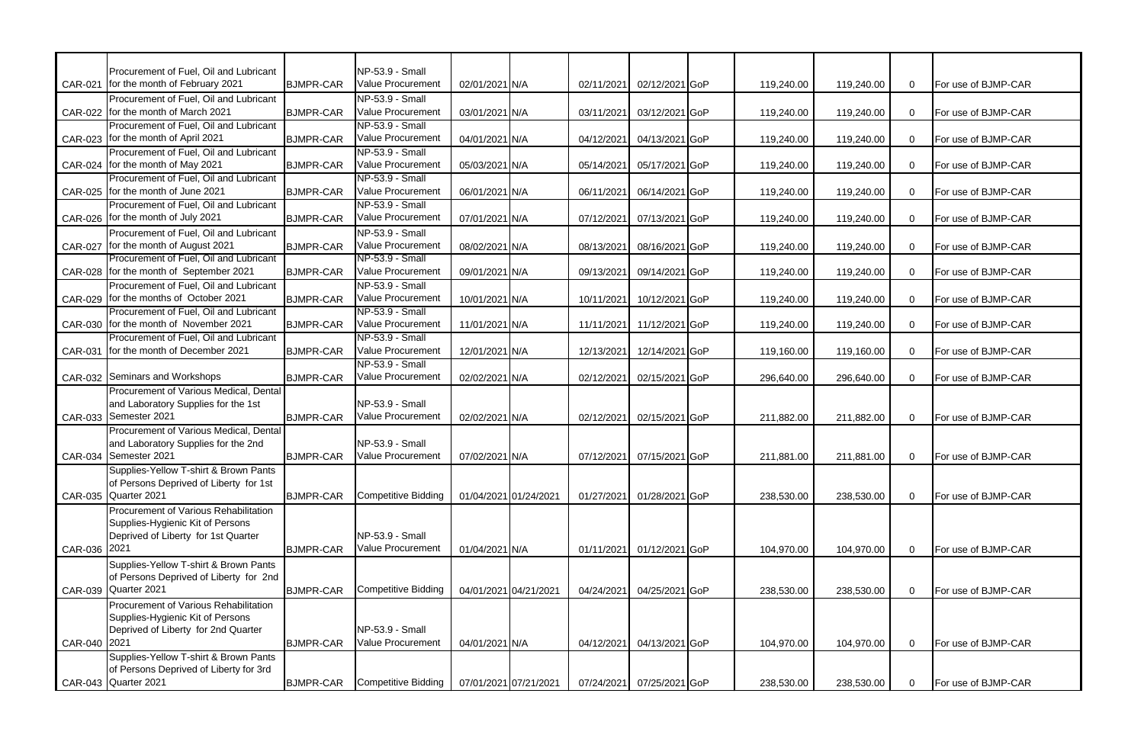|                | Procurement of Fuel, Oil and Lubricant                                          |                  | NP-53.9 - Small                             |                       |                       |            |                |            |            |                |                     |
|----------------|---------------------------------------------------------------------------------|------------------|---------------------------------------------|-----------------------|-----------------------|------------|----------------|------------|------------|----------------|---------------------|
|                | CAR-021 for the month of February 2021                                          | <b>BJMPR-CAR</b> | Value Procurement                           | 02/01/2021 N/A        |                       | 02/11/2021 | 02/12/2021 GoP | 119,240.00 | 119,240.00 | $\overline{0}$ | For use of BJMP-CAR |
|                | Procurement of Fuel, Oil and Lubricant                                          |                  | NP-53.9 - Small                             |                       |                       |            |                |            |            |                |                     |
| <b>CAR-022</b> | for the month of March 2021                                                     | <b>BJMPR-CAR</b> | Value Procurement                           | 03/01/2021 N/A        |                       | 03/11/2021 | 03/12/2021 GoP | 119,240.00 | 119,240.00 | $\mathbf 0$    | For use of BJMP-CAR |
|                | Procurement of Fuel, Oil and Lubricant                                          |                  | NP-53.9 - Small                             |                       |                       |            |                |            |            |                |                     |
| CAR-023        | for the month of April 2021                                                     | <b>BJMPR-CAR</b> | Value Procurement                           | 04/01/2021 N/A        |                       | 04/12/2021 | 04/13/2021 GoP | 119,240.00 | 119,240.00 | $\mathbf{0}$   | For use of BJMP-CAR |
|                | Procurement of Fuel, Oil and Lubricant                                          |                  | NP-53.9 - Small                             |                       |                       |            |                |            |            |                |                     |
| <b>CAR-024</b> | for the month of May 2021                                                       | <b>BJMPR-CAR</b> | Value Procurement                           | 05/03/2021 N/A        |                       | 05/14/2021 | 05/17/2021 GoP | 119,240.00 | 119,240.00 | $\mathbf 0$    | For use of BJMP-CAR |
|                | Procurement of Fuel, Oil and Lubricant<br>CAR-025 for the month of June 2021    |                  | NP-53.9 - Small<br>Value Procurement        |                       |                       |            |                |            |            |                |                     |
|                | Procurement of Fuel, Oil and Lubricant                                          | <b>BJMPR-CAR</b> | NP-53.9 - Small                             | 06/01/2021 N/A        |                       | 06/11/2021 | 06/14/2021 GoP | 119,240.00 | 119,240.00 | $\mathbf 0$    | For use of BJMP-CAR |
| CAR-026        | for the month of July 2021                                                      | <b>BJMPR-CAR</b> | Value Procurement                           | 07/01/2021 N/A        |                       | 07/12/2021 | 07/13/2021 GoP | 119,240.00 | 119,240.00 | $\mathbf 0$    | For use of BJMP-CAR |
|                | Procurement of Fuel, Oil and Lubricant                                          |                  | NP-53.9 - Small                             |                       |                       |            |                |            |            |                |                     |
| <b>CAR-027</b> | for the month of August 2021                                                    | <b>BJMPR-CAR</b> | Value Procurement                           | 08/02/2021 N/A        |                       | 08/13/2021 | 08/16/2021 GoP | 119,240.00 | 119,240.00 | $\mathbf 0$    | For use of BJMP-CAR |
|                | Procurement of Fuel, Oil and Lubricant                                          |                  | NP-53.9 - Small                             |                       |                       |            |                |            |            |                |                     |
| CAR-028        | for the month of September 2021                                                 | <b>BJMPR-CAR</b> | Value Procurement                           | 09/01/2021 N/A        |                       | 09/13/2021 | 09/14/2021 GoP | 119,240.00 | 119,240.00 | $\overline{0}$ | For use of BJMP-CAR |
|                | Procurement of Fuel, Oil and Lubricant                                          |                  | NP-53.9 - Small                             |                       |                       |            |                |            |            |                |                     |
| <b>CAR-029</b> | for the months of October 2021                                                  | <b>BJMPR-CAR</b> | <b>Value Procurement</b>                    | 10/01/2021 N/A        |                       | 10/11/2021 | 10/12/2021 GoP | 119,240.00 | 119,240.00 | $\mathbf 0$    | For use of BJMP-CAR |
|                | Procurement of Fuel, Oil and Lubricant                                          |                  | NP-53.9 - Small                             |                       |                       |            |                |            |            |                |                     |
| <b>CAR-030</b> | for the month of November 2021                                                  | <b>BJMPR-CAR</b> | Value Procurement                           | 11/01/2021 N/A        |                       | 11/11/2021 | 11/12/2021 GoP | 119,240.00 | 119,240.00 | $\mathbf 0$    | For use of BJMP-CAR |
|                | Procurement of Fuel, Oil and Lubricant                                          |                  | NP-53.9 - Small                             |                       |                       |            |                |            |            |                |                     |
| CAR-031        | for the month of December 2021                                                  | <b>BJMPR-CAR</b> | Value Procurement                           | 12/01/2021 N/A        |                       | 12/13/2021 | 12/14/2021 GoP | 119,160.00 | 119,160.00 | $\mathbf 0$    | For use of BJMP-CAR |
|                |                                                                                 |                  | NP-53.9 - Small                             |                       |                       |            |                |            |            |                |                     |
|                | CAR-032 Seminars and Workshops                                                  | <b>BJMPR-CAR</b> | Value Procurement                           | 02/02/2021 N/A        |                       | 02/12/2021 | 02/15/2021 GoP | 296,640.00 | 296,640.00 | $\Omega$       | For use of BJMP-CAR |
|                | Procurement of Various Medical, Dental                                          |                  |                                             |                       |                       |            |                |            |            |                |                     |
|                | and Laboratory Supplies for the 1st                                             |                  | NP-53.9 - Small                             |                       |                       |            |                |            |            |                |                     |
| CAR-033        | Semester 2021                                                                   | <b>BJMPR-CAR</b> | Value Procurement                           | 02/02/2021 N/A        |                       | 02/12/2021 | 02/15/2021 GoP | 211,882.00 | 211,882.00 | $\overline{0}$ | For use of BJMP-CAR |
|                | Procurement of Various Medical, Dental                                          |                  |                                             |                       |                       |            |                |            |            |                |                     |
|                | and Laboratory Supplies for the 2nd                                             |                  | NP-53.9 - Small<br><b>Value Procurement</b> |                       |                       |            |                |            |            |                |                     |
|                | CAR-034 Semester 2021                                                           | <b>BJMPR-CAR</b> |                                             | 07/02/2021 N/A        |                       | 07/12/2021 | 07/15/2021 GoP | 211,881.00 | 211,881.00 | $\overline{0}$ | For use of BJMP-CAR |
|                | Supplies-Yellow T-shirt & Brown Pants<br>of Persons Deprived of Liberty for 1st |                  |                                             |                       |                       |            |                |            |            |                |                     |
|                | CAR-035 Quarter 2021                                                            | <b>BJMPR-CAR</b> | <b>Competitive Bidding</b>                  | 01/04/2021 01/24/2021 |                       | 01/27/2021 | 01/28/2021 GoP | 238,530.00 | 238,530.00 | $\mathbf 0$    | For use of BJMP-CAR |
|                | Procurement of Various Rehabilitation                                           |                  |                                             |                       |                       |            |                |            |            |                |                     |
|                | Supplies-Hygienic Kit of Persons                                                |                  |                                             |                       |                       |            |                |            |            |                |                     |
|                | Deprived of Liberty for 1st Quarter                                             |                  | NP-53.9 - Small                             |                       |                       |            |                |            |            |                |                     |
| CAR-036 2021   |                                                                                 | <b>BJMPR-CAR</b> | Value Procurement                           | 01/04/2021 N/A        |                       | 01/11/2021 | 01/12/2021 GoP | 104,970.00 | 104,970.00 | $\mathbf 0$    | For use of BJMP-CAR |
|                | Supplies-Yellow T-shirt & Brown Pants                                           |                  |                                             |                       |                       |            |                |            |            |                |                     |
|                | of Persons Deprived of Liberty for 2nd                                          |                  |                                             |                       |                       |            |                |            |            |                |                     |
| CAR-039        | Quarter 2021                                                                    | <b>BJMPR-CAR</b> | Competitive Bidding                         | 04/01/2021 04/21/2021 |                       | 04/24/2021 | 04/25/2021 GoP | 238,530.00 | 238,530.00 | $\mathbf 0$    | For use of BJMP-CAR |
|                | Procurement of Various Rehabilitation                                           |                  |                                             |                       |                       |            |                |            |            |                |                     |
|                | Supplies-Hygienic Kit of Persons                                                |                  |                                             |                       |                       |            |                |            |            |                |                     |
|                | Deprived of Liberty for 2nd Quarter                                             |                  | NP-53.9 - Small                             |                       |                       |            |                |            |            |                |                     |
| CAR-040 2021   |                                                                                 | <b>BJMPR-CAR</b> | <b>Value Procurement</b>                    | 04/01/2021 N/A        |                       | 04/12/2021 | 04/13/2021 GoP | 104,970.00 | 104,970.00 | $\mathbf 0$    | For use of BJMP-CAR |
|                | Supplies-Yellow T-shirt & Brown Pants                                           |                  |                                             |                       |                       |            |                |            |            |                |                     |
|                | of Persons Deprived of Liberty for 3rd                                          |                  |                                             |                       |                       |            |                |            |            |                |                     |
|                | CAR-043 Quarter 2021                                                            | <b>BJMPR-CAR</b> | Competitive Bidding                         |                       | 07/01/2021 07/21/2021 | 07/24/2021 | 07/25/2021 GoP | 238,530.00 | 238,530.00 | $\mathbf 0$    | For use of BJMP-CAR |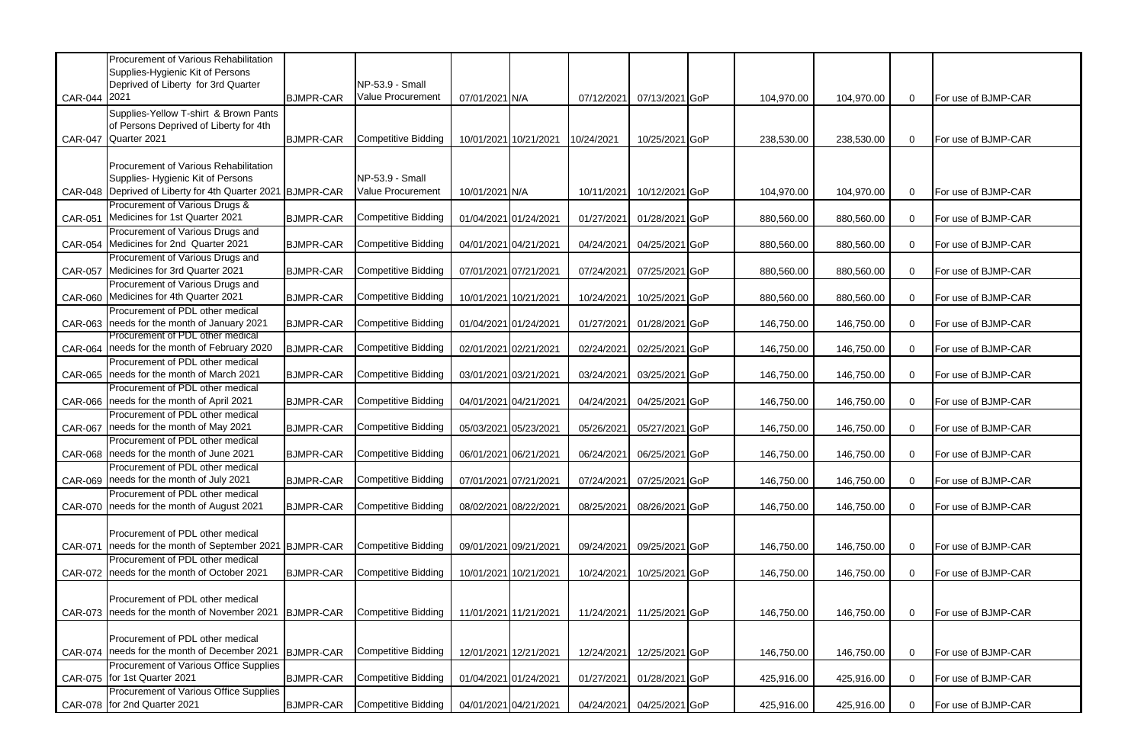| NP-53.9 - Small<br>Deprived of Liberty for 3rd Quarter<br>Value Procurement<br>CAR-044 2021<br><b>BJMPR-CAR</b><br>07/01/2021 N/A<br>104,970.00<br>For use of BJMP-CAR<br>07/12/2021<br>07/13/2021 GoP<br>104,970.00<br>$\overline{0}$<br>Supplies-Yellow T-shirt & Brown Pants<br>of Persons Deprived of Liberty for 4th<br>CAR-047 Quarter 2021<br><b>BJMPR-CAR</b><br><b>Competitive Bidding</b><br>10/01/2021 10/21/2021<br>10/24/2021<br>10/25/2021 GoP<br>238,530.00<br>$\mathbf 0$<br>For use of BJMP-CAR<br>238,530.00<br>Procurement of Various Rehabilitation<br>Supplies-Hygienic Kit of Persons<br>NP-53.9 - Small<br>Value Procurement<br>CAR-048 Deprived of Liberty for 4th Quarter 2021 BJMPR-CAR<br>10/11/2021 10/12/2021 GoP<br>$\mathbf 0$<br>10/01/2021 N/A<br>104,970.00<br>104,970.00<br>For use of BJMP-CAR<br>Procurement of Various Drugs &<br>Medicines for 1st Quarter 2021<br><b>Competitive Bidding</b><br><b>CAR-051</b><br><b>BJMPR-CAR</b><br>$\mathbf 0$<br>For use of BJMP-CAR<br>01/04/2021 01/24/2021<br>01/27/2021<br>01/28/2021 GoP<br>880,560.00<br>880,560.00<br>Procurement of Various Drugs and<br>CAR-054 Medicines for 2nd Quarter 2021<br><b>Competitive Bidding</b><br><b>BJMPR-CAR</b><br>04/01/2021 04/21/2021<br>04/24/2021<br>04/25/2021 GoP<br>880,560.00<br>For use of BJMP-CAR<br>880,560.00<br>$\overline{0}$<br>Procurement of Various Drugs and<br>CAR-057 Medicines for 3rd Quarter 2021<br><b>Competitive Bidding</b><br>07/01/2021 07/21/2021<br><b>BJMPR-CAR</b><br>07/24/2021<br>07/25/2021 GoP<br>880,560.00<br>880,560.00<br>$\mathbf 0$<br>For use of BJMP-CAR<br>Procurement of Various Drugs and<br>CAR-060 Medicines for 4th Quarter 2021<br>Competitive Bidding<br><b>BJMPR-CAR</b><br>10/01/2021 10/21/2021<br>10/24/2021<br>10/25/2021 GoP<br>880,560.00<br>880,560.00<br>For use of BJMP-CAR<br>$\mathbf 0$ | Procurement of Various Rehabilitation<br>Supplies-Hygienic Kit of Persons |  |  |  |  |  |  |
|------------------------------------------------------------------------------------------------------------------------------------------------------------------------------------------------------------------------------------------------------------------------------------------------------------------------------------------------------------------------------------------------------------------------------------------------------------------------------------------------------------------------------------------------------------------------------------------------------------------------------------------------------------------------------------------------------------------------------------------------------------------------------------------------------------------------------------------------------------------------------------------------------------------------------------------------------------------------------------------------------------------------------------------------------------------------------------------------------------------------------------------------------------------------------------------------------------------------------------------------------------------------------------------------------------------------------------------------------------------------------------------------------------------------------------------------------------------------------------------------------------------------------------------------------------------------------------------------------------------------------------------------------------------------------------------------------------------------------------------------------------------------------------------------------------------------------------------------------------------------------------|---------------------------------------------------------------------------|--|--|--|--|--|--|
|                                                                                                                                                                                                                                                                                                                                                                                                                                                                                                                                                                                                                                                                                                                                                                                                                                                                                                                                                                                                                                                                                                                                                                                                                                                                                                                                                                                                                                                                                                                                                                                                                                                                                                                                                                                                                                                                                    |                                                                           |  |  |  |  |  |  |
|                                                                                                                                                                                                                                                                                                                                                                                                                                                                                                                                                                                                                                                                                                                                                                                                                                                                                                                                                                                                                                                                                                                                                                                                                                                                                                                                                                                                                                                                                                                                                                                                                                                                                                                                                                                                                                                                                    |                                                                           |  |  |  |  |  |  |
|                                                                                                                                                                                                                                                                                                                                                                                                                                                                                                                                                                                                                                                                                                                                                                                                                                                                                                                                                                                                                                                                                                                                                                                                                                                                                                                                                                                                                                                                                                                                                                                                                                                                                                                                                                                                                                                                                    |                                                                           |  |  |  |  |  |  |
|                                                                                                                                                                                                                                                                                                                                                                                                                                                                                                                                                                                                                                                                                                                                                                                                                                                                                                                                                                                                                                                                                                                                                                                                                                                                                                                                                                                                                                                                                                                                                                                                                                                                                                                                                                                                                                                                                    |                                                                           |  |  |  |  |  |  |
|                                                                                                                                                                                                                                                                                                                                                                                                                                                                                                                                                                                                                                                                                                                                                                                                                                                                                                                                                                                                                                                                                                                                                                                                                                                                                                                                                                                                                                                                                                                                                                                                                                                                                                                                                                                                                                                                                    |                                                                           |  |  |  |  |  |  |
|                                                                                                                                                                                                                                                                                                                                                                                                                                                                                                                                                                                                                                                                                                                                                                                                                                                                                                                                                                                                                                                                                                                                                                                                                                                                                                                                                                                                                                                                                                                                                                                                                                                                                                                                                                                                                                                                                    |                                                                           |  |  |  |  |  |  |
|                                                                                                                                                                                                                                                                                                                                                                                                                                                                                                                                                                                                                                                                                                                                                                                                                                                                                                                                                                                                                                                                                                                                                                                                                                                                                                                                                                                                                                                                                                                                                                                                                                                                                                                                                                                                                                                                                    |                                                                           |  |  |  |  |  |  |
|                                                                                                                                                                                                                                                                                                                                                                                                                                                                                                                                                                                                                                                                                                                                                                                                                                                                                                                                                                                                                                                                                                                                                                                                                                                                                                                                                                                                                                                                                                                                                                                                                                                                                                                                                                                                                                                                                    |                                                                           |  |  |  |  |  |  |
|                                                                                                                                                                                                                                                                                                                                                                                                                                                                                                                                                                                                                                                                                                                                                                                                                                                                                                                                                                                                                                                                                                                                                                                                                                                                                                                                                                                                                                                                                                                                                                                                                                                                                                                                                                                                                                                                                    |                                                                           |  |  |  |  |  |  |
|                                                                                                                                                                                                                                                                                                                                                                                                                                                                                                                                                                                                                                                                                                                                                                                                                                                                                                                                                                                                                                                                                                                                                                                                                                                                                                                                                                                                                                                                                                                                                                                                                                                                                                                                                                                                                                                                                    |                                                                           |  |  |  |  |  |  |
|                                                                                                                                                                                                                                                                                                                                                                                                                                                                                                                                                                                                                                                                                                                                                                                                                                                                                                                                                                                                                                                                                                                                                                                                                                                                                                                                                                                                                                                                                                                                                                                                                                                                                                                                                                                                                                                                                    |                                                                           |  |  |  |  |  |  |
|                                                                                                                                                                                                                                                                                                                                                                                                                                                                                                                                                                                                                                                                                                                                                                                                                                                                                                                                                                                                                                                                                                                                                                                                                                                                                                                                                                                                                                                                                                                                                                                                                                                                                                                                                                                                                                                                                    |                                                                           |  |  |  |  |  |  |
|                                                                                                                                                                                                                                                                                                                                                                                                                                                                                                                                                                                                                                                                                                                                                                                                                                                                                                                                                                                                                                                                                                                                                                                                                                                                                                                                                                                                                                                                                                                                                                                                                                                                                                                                                                                                                                                                                    |                                                                           |  |  |  |  |  |  |
|                                                                                                                                                                                                                                                                                                                                                                                                                                                                                                                                                                                                                                                                                                                                                                                                                                                                                                                                                                                                                                                                                                                                                                                                                                                                                                                                                                                                                                                                                                                                                                                                                                                                                                                                                                                                                                                                                    |                                                                           |  |  |  |  |  |  |
|                                                                                                                                                                                                                                                                                                                                                                                                                                                                                                                                                                                                                                                                                                                                                                                                                                                                                                                                                                                                                                                                                                                                                                                                                                                                                                                                                                                                                                                                                                                                                                                                                                                                                                                                                                                                                                                                                    |                                                                           |  |  |  |  |  |  |
|                                                                                                                                                                                                                                                                                                                                                                                                                                                                                                                                                                                                                                                                                                                                                                                                                                                                                                                                                                                                                                                                                                                                                                                                                                                                                                                                                                                                                                                                                                                                                                                                                                                                                                                                                                                                                                                                                    |                                                                           |  |  |  |  |  |  |
| Procurement of PDL other medical                                                                                                                                                                                                                                                                                                                                                                                                                                                                                                                                                                                                                                                                                                                                                                                                                                                                                                                                                                                                                                                                                                                                                                                                                                                                                                                                                                                                                                                                                                                                                                                                                                                                                                                                                                                                                                                   |                                                                           |  |  |  |  |  |  |
| CAR-063 needs for the month of January 2021<br><b>Competitive Bidding</b><br><b>BJMPR-CAR</b><br>01/04/2021 01/24/2021<br>01/27/2021<br>01/28/2021 GoP<br>146,750.00<br>$\mathbf 0$<br>146,750.00<br>For use of BJMP-CAR                                                                                                                                                                                                                                                                                                                                                                                                                                                                                                                                                                                                                                                                                                                                                                                                                                                                                                                                                                                                                                                                                                                                                                                                                                                                                                                                                                                                                                                                                                                                                                                                                                                           |                                                                           |  |  |  |  |  |  |
| Procurement of PDL other medical<br>CAR-064 needs for the month of February 2020<br><b>Competitive Bidding</b><br><b>BJMPR-CAR</b><br>02/25/2021 GoP<br>$\mathbf 0$                                                                                                                                                                                                                                                                                                                                                                                                                                                                                                                                                                                                                                                                                                                                                                                                                                                                                                                                                                                                                                                                                                                                                                                                                                                                                                                                                                                                                                                                                                                                                                                                                                                                                                                |                                                                           |  |  |  |  |  |  |
| 02/01/2021 02/21/2021<br>146,750.00<br>For use of BJMP-CAR<br>02/24/2021<br>146,750.00<br>Procurement of PDL other medical                                                                                                                                                                                                                                                                                                                                                                                                                                                                                                                                                                                                                                                                                                                                                                                                                                                                                                                                                                                                                                                                                                                                                                                                                                                                                                                                                                                                                                                                                                                                                                                                                                                                                                                                                         |                                                                           |  |  |  |  |  |  |
| CAR-065 needs for the month of March 2021<br><b>Competitive Bidding</b><br><b>BJMPR-CAR</b><br>03/01/2021 03/21/2021<br>03/24/2021<br>03/25/2021 GoP<br>146,750.00<br>$\mathbf 0$<br>For use of BJMP-CAR<br>146,750.00                                                                                                                                                                                                                                                                                                                                                                                                                                                                                                                                                                                                                                                                                                                                                                                                                                                                                                                                                                                                                                                                                                                                                                                                                                                                                                                                                                                                                                                                                                                                                                                                                                                             |                                                                           |  |  |  |  |  |  |
| Procurement of PDL other medical                                                                                                                                                                                                                                                                                                                                                                                                                                                                                                                                                                                                                                                                                                                                                                                                                                                                                                                                                                                                                                                                                                                                                                                                                                                                                                                                                                                                                                                                                                                                                                                                                                                                                                                                                                                                                                                   |                                                                           |  |  |  |  |  |  |
| CAR-066 needs for the month of April 2021<br><b>Competitive Bidding</b><br><b>BJMPR-CAR</b><br>04/01/2021 04/21/2021<br>04/24/2021<br>04/25/2021 GoP<br>146,750.00<br>146,750.00<br>$\mathbf 0$<br>For use of BJMP-CAR                                                                                                                                                                                                                                                                                                                                                                                                                                                                                                                                                                                                                                                                                                                                                                                                                                                                                                                                                                                                                                                                                                                                                                                                                                                                                                                                                                                                                                                                                                                                                                                                                                                             |                                                                           |  |  |  |  |  |  |
| Procurement of PDL other medical                                                                                                                                                                                                                                                                                                                                                                                                                                                                                                                                                                                                                                                                                                                                                                                                                                                                                                                                                                                                                                                                                                                                                                                                                                                                                                                                                                                                                                                                                                                                                                                                                                                                                                                                                                                                                                                   |                                                                           |  |  |  |  |  |  |
| CAR-067 needs for the month of May 2021<br><b>Competitive Bidding</b><br><b>BJMPR-CAR</b><br>05/03/2021 05/23/2021<br>05/27/2021 GoP<br>146,750.00<br>For use of BJMP-CAR<br>05/26/2021<br>146,750.00<br>$\mathbf 0$                                                                                                                                                                                                                                                                                                                                                                                                                                                                                                                                                                                                                                                                                                                                                                                                                                                                                                                                                                                                                                                                                                                                                                                                                                                                                                                                                                                                                                                                                                                                                                                                                                                               |                                                                           |  |  |  |  |  |  |
| Procurement of PDL other medical                                                                                                                                                                                                                                                                                                                                                                                                                                                                                                                                                                                                                                                                                                                                                                                                                                                                                                                                                                                                                                                                                                                                                                                                                                                                                                                                                                                                                                                                                                                                                                                                                                                                                                                                                                                                                                                   |                                                                           |  |  |  |  |  |  |
| CAR-068 needs for the month of June 2021<br>Competitive Bidding<br><b>BJMPR-CAR</b><br>06/01/2021 06/21/2021<br>06/24/2021<br>06/25/2021 GoP<br>146,750.00<br>$\mathbf 0$<br>146,750.00<br>For use of BJMP-CAR                                                                                                                                                                                                                                                                                                                                                                                                                                                                                                                                                                                                                                                                                                                                                                                                                                                                                                                                                                                                                                                                                                                                                                                                                                                                                                                                                                                                                                                                                                                                                                                                                                                                     |                                                                           |  |  |  |  |  |  |
| Procurement of PDL other medical                                                                                                                                                                                                                                                                                                                                                                                                                                                                                                                                                                                                                                                                                                                                                                                                                                                                                                                                                                                                                                                                                                                                                                                                                                                                                                                                                                                                                                                                                                                                                                                                                                                                                                                                                                                                                                                   |                                                                           |  |  |  |  |  |  |
| CAR-069 needs for the month of July 2021<br><b>Competitive Bidding</b><br><b>BJMPR-CAR</b><br>07/01/2021 07/21/2021<br>07/24/2021<br>07/25/2021 GoP<br>146,750.00<br>146,750.00<br>$\mathbf 0$<br>For use of BJMP-CAR                                                                                                                                                                                                                                                                                                                                                                                                                                                                                                                                                                                                                                                                                                                                                                                                                                                                                                                                                                                                                                                                                                                                                                                                                                                                                                                                                                                                                                                                                                                                                                                                                                                              |                                                                           |  |  |  |  |  |  |
| Procurement of PDL other medical                                                                                                                                                                                                                                                                                                                                                                                                                                                                                                                                                                                                                                                                                                                                                                                                                                                                                                                                                                                                                                                                                                                                                                                                                                                                                                                                                                                                                                                                                                                                                                                                                                                                                                                                                                                                                                                   |                                                                           |  |  |  |  |  |  |
| CAR-070 needs for the month of August 2021<br><b>Competitive Bidding</b><br><b>BJMPR-CAR</b><br>08/02/2021 08/22/2021<br>08/25/2021<br>08/26/2021 GoP<br>146,750.00<br>146,750.00<br>$\mathbf 0$<br>For use of BJMP-CAR                                                                                                                                                                                                                                                                                                                                                                                                                                                                                                                                                                                                                                                                                                                                                                                                                                                                                                                                                                                                                                                                                                                                                                                                                                                                                                                                                                                                                                                                                                                                                                                                                                                            |                                                                           |  |  |  |  |  |  |
|                                                                                                                                                                                                                                                                                                                                                                                                                                                                                                                                                                                                                                                                                                                                                                                                                                                                                                                                                                                                                                                                                                                                                                                                                                                                                                                                                                                                                                                                                                                                                                                                                                                                                                                                                                                                                                                                                    |                                                                           |  |  |  |  |  |  |
| Procurement of PDL other medical                                                                                                                                                                                                                                                                                                                                                                                                                                                                                                                                                                                                                                                                                                                                                                                                                                                                                                                                                                                                                                                                                                                                                                                                                                                                                                                                                                                                                                                                                                                                                                                                                                                                                                                                                                                                                                                   |                                                                           |  |  |  |  |  |  |
| needs for the month of September 2021<br>Competitive Bidding<br>CAR-071<br><b>BJMPR-CAR</b><br>09/01/2021 09/21/2021<br>09/24/2021<br>09/25/2021 GoP<br>For use of BJMP-CAR<br>146,750.00<br>146,750.00<br>$\mathbf 0$                                                                                                                                                                                                                                                                                                                                                                                                                                                                                                                                                                                                                                                                                                                                                                                                                                                                                                                                                                                                                                                                                                                                                                                                                                                                                                                                                                                                                                                                                                                                                                                                                                                             |                                                                           |  |  |  |  |  |  |
| Procurement of PDL other medical                                                                                                                                                                                                                                                                                                                                                                                                                                                                                                                                                                                                                                                                                                                                                                                                                                                                                                                                                                                                                                                                                                                                                                                                                                                                                                                                                                                                                                                                                                                                                                                                                                                                                                                                                                                                                                                   |                                                                           |  |  |  |  |  |  |
| CAR-072 needs for the month of October 2021<br><b>Competitive Bidding</b><br><b>BJMPR-CAR</b><br>10/01/2021 10/21/2021<br>10/24/2021<br>10/25/2021 GoP<br>For use of BJMP-CAR<br>146,750.00<br>146,750.00<br>$\mathbf 0$                                                                                                                                                                                                                                                                                                                                                                                                                                                                                                                                                                                                                                                                                                                                                                                                                                                                                                                                                                                                                                                                                                                                                                                                                                                                                                                                                                                                                                                                                                                                                                                                                                                           |                                                                           |  |  |  |  |  |  |
|                                                                                                                                                                                                                                                                                                                                                                                                                                                                                                                                                                                                                                                                                                                                                                                                                                                                                                                                                                                                                                                                                                                                                                                                                                                                                                                                                                                                                                                                                                                                                                                                                                                                                                                                                                                                                                                                                    |                                                                           |  |  |  |  |  |  |
| Procurement of PDL other medical                                                                                                                                                                                                                                                                                                                                                                                                                                                                                                                                                                                                                                                                                                                                                                                                                                                                                                                                                                                                                                                                                                                                                                                                                                                                                                                                                                                                                                                                                                                                                                                                                                                                                                                                                                                                                                                   |                                                                           |  |  |  |  |  |  |
| CAR-073 needs for the month of November 2021<br><b>BJMPR-CAR</b><br><b>Competitive Bidding</b><br>11/01/2021 11/21/2021<br>11/24/2021 11/25/2021 GoP<br>146,750.00<br>146,750.00<br>For use of BJMP-CAR<br>$\mathbf 0$                                                                                                                                                                                                                                                                                                                                                                                                                                                                                                                                                                                                                                                                                                                                                                                                                                                                                                                                                                                                                                                                                                                                                                                                                                                                                                                                                                                                                                                                                                                                                                                                                                                             |                                                                           |  |  |  |  |  |  |
|                                                                                                                                                                                                                                                                                                                                                                                                                                                                                                                                                                                                                                                                                                                                                                                                                                                                                                                                                                                                                                                                                                                                                                                                                                                                                                                                                                                                                                                                                                                                                                                                                                                                                                                                                                                                                                                                                    |                                                                           |  |  |  |  |  |  |
| Procurement of PDL other medical<br>CAR-074 needs for the month of December 2021                                                                                                                                                                                                                                                                                                                                                                                                                                                                                                                                                                                                                                                                                                                                                                                                                                                                                                                                                                                                                                                                                                                                                                                                                                                                                                                                                                                                                                                                                                                                                                                                                                                                                                                                                                                                   |                                                                           |  |  |  |  |  |  |
| Competitive Bidding<br><b>BJMPR-CAR</b><br>12/01/2021 12/21/2021<br>12/24/2021<br>12/25/2021 GoP<br>146,750.00<br>146,750.00<br>$\mathbf 0$<br>For use of BJMP-CAR                                                                                                                                                                                                                                                                                                                                                                                                                                                                                                                                                                                                                                                                                                                                                                                                                                                                                                                                                                                                                                                                                                                                                                                                                                                                                                                                                                                                                                                                                                                                                                                                                                                                                                                 |                                                                           |  |  |  |  |  |  |
| Procurement of Various Office Supplies<br>CAR-075 for 1st Quarter 2021<br><b>Competitive Bidding</b>                                                                                                                                                                                                                                                                                                                                                                                                                                                                                                                                                                                                                                                                                                                                                                                                                                                                                                                                                                                                                                                                                                                                                                                                                                                                                                                                                                                                                                                                                                                                                                                                                                                                                                                                                                               |                                                                           |  |  |  |  |  |  |
| <b>BJMPR-CAR</b><br>01/04/2021 01/24/2021<br>01/27/2021<br>01/28/2021 GoP<br>425,916.00<br>425,916.00<br>$\mathbf 0$<br>For use of BJMP-CAR<br>Procurement of Various Office Supplies                                                                                                                                                                                                                                                                                                                                                                                                                                                                                                                                                                                                                                                                                                                                                                                                                                                                                                                                                                                                                                                                                                                                                                                                                                                                                                                                                                                                                                                                                                                                                                                                                                                                                              |                                                                           |  |  |  |  |  |  |
| CAR-078 for 2nd Quarter 2021<br>Competitive Bidding<br><b>BJMPR-CAR</b><br>04/01/2021 04/21/2021<br>04/24/2021<br>04/25/2021 GoP<br>425,916.00<br>425,916.00<br>$\mathbf 0$<br>For use of BJMP-CAR                                                                                                                                                                                                                                                                                                                                                                                                                                                                                                                                                                                                                                                                                                                                                                                                                                                                                                                                                                                                                                                                                                                                                                                                                                                                                                                                                                                                                                                                                                                                                                                                                                                                                 |                                                                           |  |  |  |  |  |  |